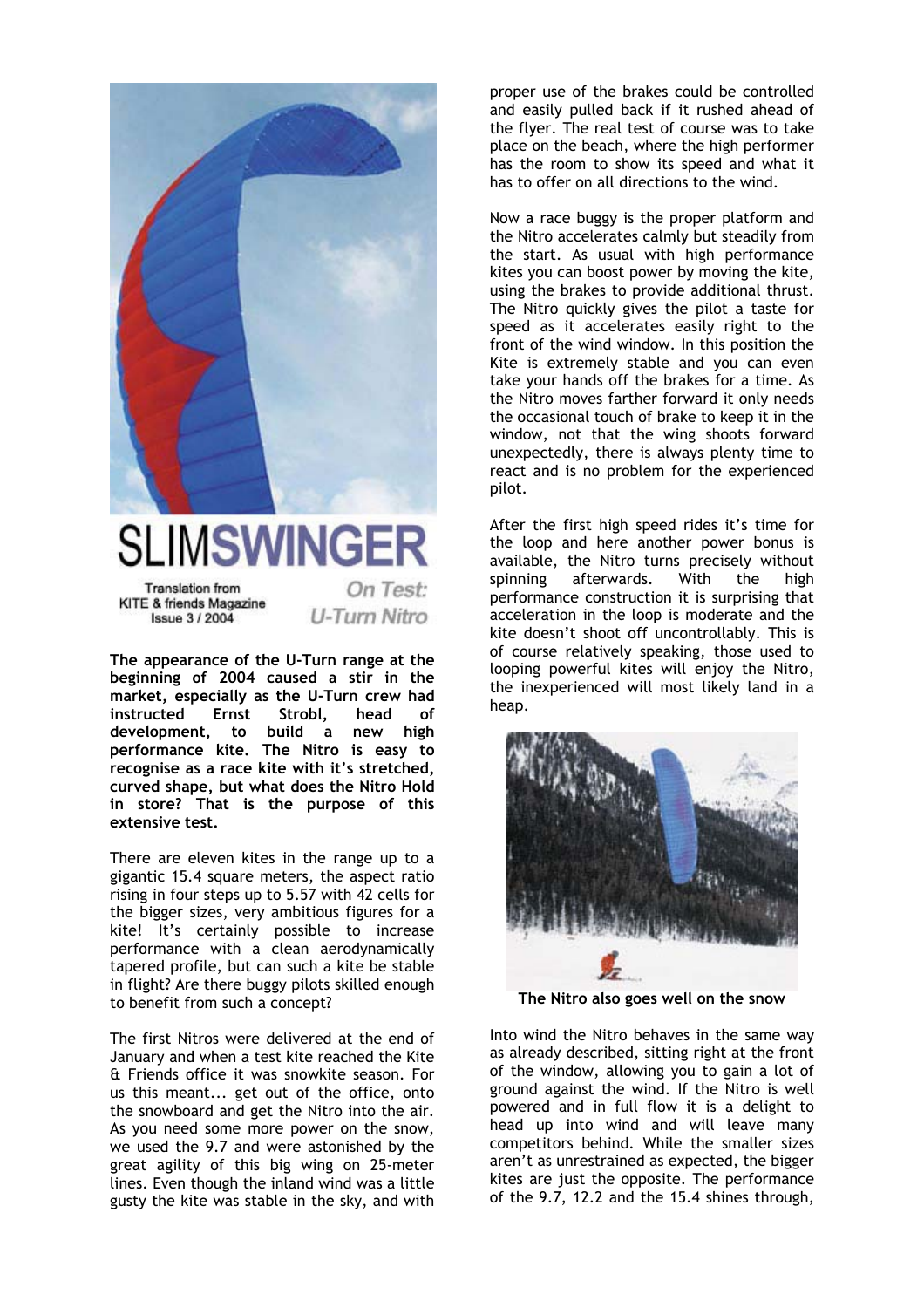

## **SLIMSWINGER**

**Translation from** KITE & friends Magazine **Issue 3/2004** 

On Test: U-Turn Nitro

**The appearance of the U-Turn range at the beginning of 2004 caused a stir in the market, especially as the U-Turn crew had instructed Ernst Strobl, head of development, to build a new high performance kite. The Nitro is easy to recognise as a race kite with it's stretched, curved shape, but what does the Nitro Hold in store? That is the purpose of this extensive test.** 

There are eleven kites in the range up to a gigantic 15.4 square meters, the aspect ratio rising in four steps up to 5.57 with 42 cells for the bigger sizes, very ambitious figures for a kite! It's certainly possible to increase performance with a clean aerodynamically tapered profile, but can such a kite be stable in flight? Are there buggy pilots skilled enough to benefit from such a concept?

The first Nitros were delivered at the end of January and when a test kite reached the Kite & Friends office it was snowkite season. For us this meant... get out of the office, onto the snowboard and get the Nitro into the air. As you need some more power on the snow, we used the 9.7 and were astonished by the great agility of this big wing on 25-meter lines. Even though the inland wind was a little gusty the kite was stable in the sky, and with

proper use of the brakes could be controlled and easily pulled back if it rushed ahead of the flyer. The real test of course was to take place on the beach, where the high performer has the room to show its speed and what it has to offer on all directions to the wind.

Now a race buggy is the proper platform and the Nitro accelerates calmly but steadily from the start. As usual with high performance kites you can boost power by moving the kite, using the brakes to provide additional thrust. The Nitro quickly gives the pilot a taste for speed as it accelerates easily right to the front of the wind window. In this position the Kite is extremely stable and you can even take your hands off the brakes for a time. As the Nitro moves farther forward it only needs the occasional touch of brake to keep it in the window, not that the wing shoots forward unexpectedly, there is always plenty time to react and is no problem for the experienced pilot.

After the first high speed rides it's time for the loop and here another power bonus is available, the Nitro turns precisely without spinning afterwards. With the high performance construction it is surprising that acceleration in the loop is moderate and the kite doesn't shoot off uncontrollably. This is of course relatively speaking, those used to looping powerful kites will enjoy the Nitro, the inexperienced will most likely land in a heap.



**The Nitro also goes well on the snow** 

Into wind the Nitro behaves in the same way as already described, sitting right at the front of the window, allowing you to gain a lot of ground against the wind. If the Nitro is well powered and in full flow it is a delight to head up into wind and will leave many competitors behind. While the smaller sizes aren't as unrestrained as expected, the bigger kites are just the opposite. The performance of the 9.7, 12.2 and the 15.4 shines through,